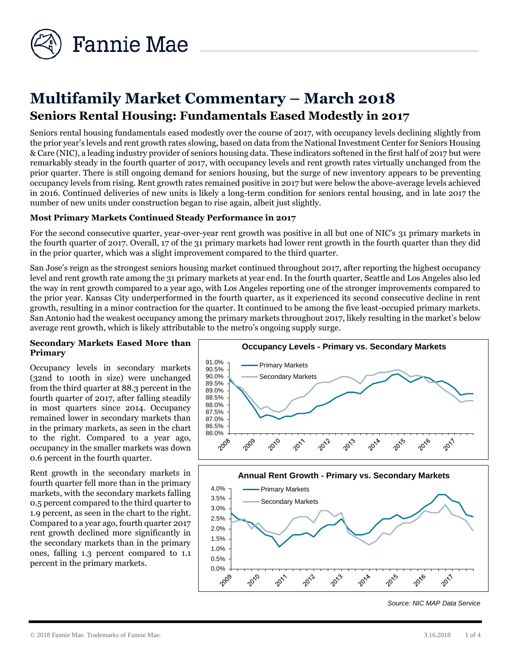

# **Multifamily Market Commentary – March 2018 Seniors Rental Housing: Fundamentals Eased Modestly in 2017**

Seniors rental housing fundamentals eased modestly over the course of 2017, with occupancy levels declining slightly from the prior year's levels and rent growth rates slowing, based on data from the National Investment Center for Seniors Housing & Care (NIC), a leading industry provider of seniors housing data. These indicators softened in the first half of 2017 but were remarkably steady in the fourth quarter of 2017, with occupancy levels and rent growth rates virtually unchanged from the prior quarter. There is still ongoing demand for seniors housing, but the surge of new inventory appears to be preventing occupancy levels from rising. Rent growth rates remained positive in 2017 but were below the above-average levels achieved in 2016. Continued deliveries of new units is likely a long-term condition for seniors rental housing, and in late 2017 the number of new units under construction began to rise again, albeit just slightly.

## **Most Primary Markets Continued Steady Performance in 2017**

For the second consecutive quarter, year-over-year rent growth was positive in all but one of NIC's 31 primary markets in the fourth quarter of 2017. Overall, 17 of the 31 primary markets had lower rent growth in the fourth quarter than they did in the prior quarter, which was a slight improvement compared to the third quarter.

San Jose's reign as the strongest seniors housing market continued throughout 2017, after reporting the highest occupancy level and rent growth rate among the 31 primary markets at year end. In the fourth quarter, Seattle and Los Angeles also led the way in rent growth compared to a year ago, with Los Angeles reporting one of the stronger improvements compared to the prior year. Kansas City underperformed in the fourth quarter, as it experienced its second consecutive decline in rent growth, resulting in a minor contraction for the quarter. It continued to be among the five least-occupied primary markets. San Antonio had the weakest occupancy among the primary markets throughout 2017, likely resulting in the market's below average rent growth, which is likely attributable to the metro's ongoing supply surge.

#### **Secondary Markets Eased More than Primary**

Occupancy levels in secondary markets (32nd to 100th in size) were unchanged from the third quarter at 88.3 percent in the fourth quarter of 2017, after falling steadily in most quarters since 2014. Occupancy remained lower in secondary markets than in the primary markets, as seen in the chart to the right. Compared to a year ago, occupancy in the smaller markets was down 0.6 percent in the fourth quarter.

Rent growth in the secondary markets in fourth quarter fell more than in the primary markets, with the secondary markets falling 0.5 percent compared to the third quarter to 1.9 percent, as seen in the chart to the right. Compared to a year ago, fourth quarter 2017 rent growth declined more significantly in the secondary markets than in the primary ones, falling 1.3 percent compared to 1.1 percent in the primary markets.





*Source: NIC MAP Data Service*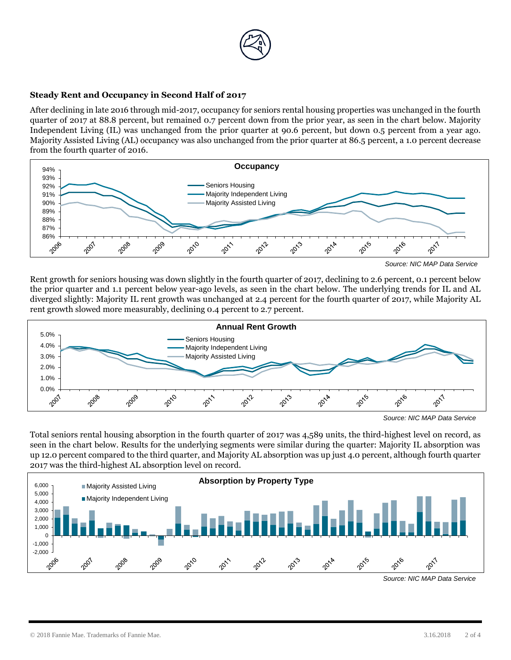

### **Steady Rent and Occupancy in Second Half of 2017**

After declining in late 2016 through mid-2017, occupancy for seniors rental housing properties was unchanged in the fourth quarter of 2017 at 88.8 percent, but remained 0.7 percent down from the prior year, as seen in the chart below. Majority Independent Living (IL) was unchanged from the prior quarter at 90.6 percent, but down 0.5 percent from a year ago. Majority Assisted Living (AL) occupancy was also unchanged from the prior quarter at 86.5 percent, a 1.0 percent decrease from the fourth quarter of 2016.



*Source: NIC MAP Data Service*

Rent growth for seniors housing was down slightly in the fourth quarter of 2017, declining to 2.6 percent, 0.1 percent below the prior quarter and 1.1 percent below year-ago levels, as seen in the chart below. The underlying trends for IL and AL diverged slightly: Majority IL rent growth was unchanged at 2.4 percent for the fourth quarter of 2017, while Majority AL rent growth slowed more measurably, declining 0.4 percent to 2.7 percent.



*Source: NIC MAP Data Service*

Total seniors rental housing absorption in the fourth quarter of 2017 was 4,589 units, the third-highest level on record, as seen in the chart below. Results for the underlying segments were similar during the quarter: Majority IL absorption was up 12.0 percent compared to the third quarter, and Majority AL absorption was up just 4.0 percent, although fourth quarter 2017 was the third-highest AL absorption level on record.



*Source: NIC MAP Data Service*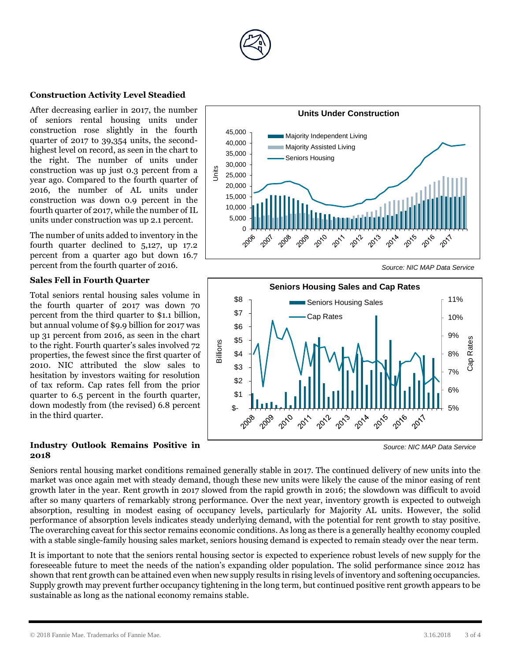

#### **Construction Activity Level Steadied**

After decreasing earlier in 2017, the number of seniors rental housing units under construction rose slightly in the fourth quarter of 2017 to 39,354 units, the secondhighest level on record, as seen in the chart to the right. The number of units under construction was up just 0.3 percent from a year ago. Compared to the fourth quarter of 2016, the number of AL units under construction was down 0.9 percent in the fourth quarter of 2017, while the number of IL units under construction was up 2.1 percent.

The number of units added to inventory in the fourth quarter declined to 5,127, up 17.2 percent from a quarter ago but down 16.7 percent from the fourth quarter of 2016.

#### **Sales Fell in Fourth Quarter**

Total seniors rental housing sales volume in the fourth quarter of 2017 was down 70 percent from the third quarter to \$1.1 billion, but annual volume 0f \$9.9 billion for 2017 was up 31 percent from 2016, as seen in the chart to the right. Fourth quarter's sales involved 72 properties, the fewest since the first quarter of 2010. NIC attributed the slow sales to hesitation by investors waiting for resolution of tax reform. Cap rates fell from the prior quarter to 6.5 percent in the fourth quarter, down modestly from (the revised) 6.8 percent in the third quarter.

#### **Industry Outlook Remains Positive in 2018**



*Source: NIC MAP Data Service*



*Source: NIC MAP Data Service*

Seniors rental housing market conditions remained generally stable in 2017. The continued delivery of new units into the market was once again met with steady demand, though these new units were likely the cause of the minor easing of rent growth later in the year. Rent growth in 2017 slowed from the rapid growth in 2016; the slowdown was difficult to avoid after so many quarters of remarkably strong performance. Over the next year, inventory growth is expected to outweigh absorption, resulting in modest easing of occupancy levels, particularly for Majority AL units. However, the solid performance of absorption levels indicates steady underlying demand, with the potential for rent growth to stay positive. The overarching caveat for this sector remains economic conditions. As long as there is a generally healthy economy coupled with a stable single-family housing sales market, seniors housing demand is expected to remain steady over the near term.

It is important to note that the seniors rental housing sector is expected to experience robust levels of new supply for the foreseeable future to meet the needs of the nation's expanding older population. The solid performance since 2012 has shown that rent growth can be attained even when new supply results in rising levels of inventory and softening occupancies. Supply growth may prevent further occupancy tightening in the long term, but continued positive rent growth appears to be sustainable as long as the national economy remains stable.